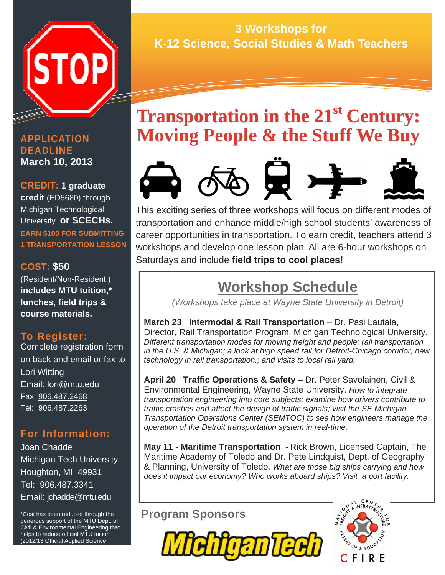

### **APPLICATION DEADLINE March 10, 2013**

**CREDIT: 1 graduate credit** (ED5680) through Michigan Technological University **or SCECHs. EARN \$100 FOR SUBMITTING 1 TRANSPORTATION LESSON** 

## **COST: \$50**

(Resident/Non-Resident ) **includes MTU tuition,\* lunches, field trips & course materials.**

## **To Register:**

Complete registration form on back and email or fax to Lori Witting Email: lori@mtu.edu Fax: 906.487.2468 Tel: 906.487.2263

## **For Information:**

Joan Chadde Michigan Tech University Houghton, MI 49931 Tel: 906.487.3341 Email: jchadde@mtu.edu

\*Cost has been reduced through the generous support of the MTU Dept. of Civil & Environmental Engineering that helps to reduce official MTU tuition (2012/13 Official Applied Science

Education Graduate Resident and Non-

#### Information Controller Studions Inc.<br>Information College Solutions & Moth To **3 Workshops for K-12 Science, Social Studies & Math Teachers**

# **Transportation in the 21<sup>st</sup> Century: Moving People & the Stuff We Buy**



This exciting series of three workshops will focus on different modes of transportation and enhance middle/high school students' awareness of career opportunities in transportation. To earn credit, teachers attend 3 workshops and develop one lesson plan. All are 6-hour workshops on Saturdays and include **field trips to cool places!**

## **Workshop Schedule**

*(Workshops take place at Wayne State University in Detroit)* 

**March 23 Intermodal & Rail Transportation** – Dr. Pasi Lautala, Director, Rail Transportation Program, Michigan Technological University. *Different transportation modes for moving freight and people; rail transportation in the U.S. & Michigan; a look at high speed rail for Detroit-Chicago corridor; new technology in rail transportation.; and visits to local rail yard.* 

**April 20 Traffic Operations & Safety** – Dr. Peter Savolainen, Civil & Environmental Engineering, Wayne State University. *How to integrate transportation engineering into core subjects; examine how drivers contribute to traffic crashes and affect the design of traffic signals; visit the SE Michigan Transportation Operations Center (SEMTOC) to see how engineers manage the operation of the Detroit transportation system in real-time.* 

**May 11 - Maritime Transportation -** Rick Brown, Licensed Captain, The Maritime Academy of Toledo and Dr. Pete Lindquist, Dept. of Geography & Planning, University of Toledo. *What are those big ships carrying and how does it impact our economy? Who works aboard ships? Visit a port facility.*

## **Program Sponsors**